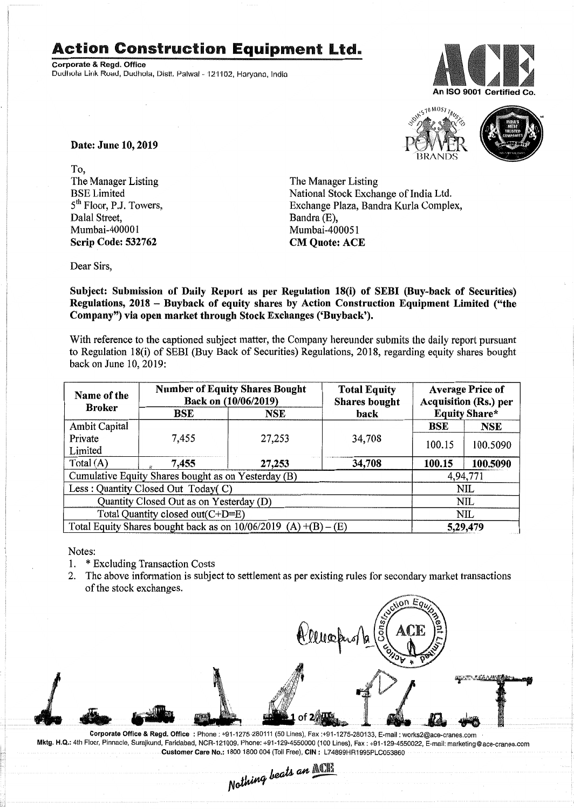## **Action Construction Equipment** Ltd..

Corporate & Regd. Office Dudhola Link Road, Dudhola, Distt, Palwal - 121102, Haryana, India





Date: June 10,2019

To, The Manager Listing BSE Limited 5<sup>th</sup> Floor, P.J. Towers, Dalal Street, Mumbai-400001 Scrip Code: 532762

The Manager Listing National Stock Exchange of India Ltd. Exchange Plaza, Bandra Kurla Complex, Bandra (E), Mumbai-400051 CM Quote: ACE

Dear Sirs,

Subject: Submission of Daily Report as per Regulation 18(i) of SEBI (Buy-back of Securities) Regulations, 2018 - Buyback of equity shares by Action Construction Equipment Limited ("the Company") via open market through Stock Exchanges ('Buyback').

With reference to the captioned subject matter, the Company hereunder submits the daily report pursuant to Regulation 18(i) of SEBI (Buy Back of Securities) Regulations, 2018, regarding equity shares bought back on June 10,2019:

| Name of the<br><b>Broker</b>                                      | <b>Number of Equity Shares Bought</b><br>Back on (10/06/2019) |            | <b>Total Equity</b><br><b>Shares bought</b> | <b>Average Price of</b><br><b>Acquisition (Rs.) per</b> |            |
|-------------------------------------------------------------------|---------------------------------------------------------------|------------|---------------------------------------------|---------------------------------------------------------|------------|
|                                                                   | BSE                                                           | <b>NSE</b> | <b>Equity Share*</b><br>back                |                                                         |            |
| <b>Ambit Capital</b>                                              |                                                               |            |                                             | <b>BSE</b>                                              | <b>NSE</b> |
| Private                                                           | 7,455                                                         | 27,253     | 34,708                                      | 100.15                                                  | 100.5090   |
| Limited                                                           |                                                               |            |                                             |                                                         |            |
| Total (A)                                                         | 7,455                                                         | 27,253     | 34,708                                      | 100.15                                                  | 100.5090   |
| Cumulative Equity Shares bought as on Yesterday (B)               |                                                               |            |                                             | 4,94,771                                                |            |
| Less: Quantity Closed Out Today(C)                                |                                                               |            |                                             | <b>NIL</b>                                              |            |
| Quantity Closed Out as on Yesterday (D)                           |                                                               |            |                                             | NIL                                                     |            |
| Total Quantity closed out(C+D=E)                                  |                                                               |            |                                             | NIL                                                     |            |
| Total Equity Shares bought back as on $10/06/2019$ (A) +(B) – (E) |                                                               |            |                                             | 5,29,479                                                |            |

Notes:

- 1. \* Excluding Transaction Costs
- 2. The above information is subject to settlement as per existing rules for secondary market transactions of the stock exchanges.



Corporate Office & Regd. Office: Phone: +91-1275-280111(50 Lines), Fax:+91-1275-280133, E-mail: works2@ace-cranes.com Mktg. H.Q.: 4th Floor, Pinnacle, Surajkund, Faridabad, NCR-121009, Phone: +91-129-4550000(100 Lines), Fax: +91-129-4550022,E-mail:marketing@ace-cranes.com Customer Care No.: 1800 1800 004 (Toll Free), CIN : L74899HR1995PLC053860

*N~ lJ,eOIV"'. ---*

*I. pats an <u>MCP</u>*